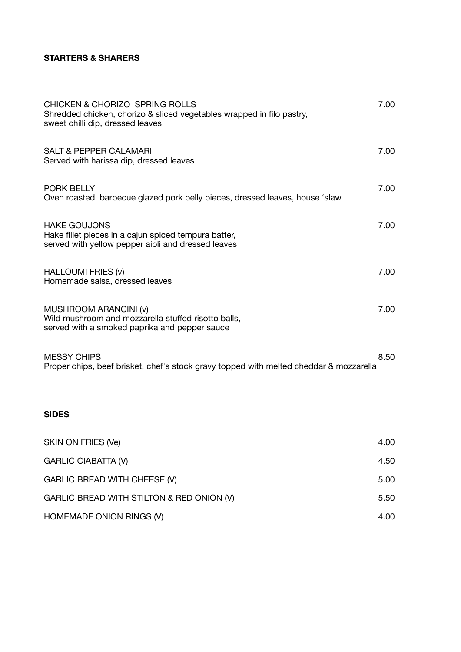## **STARTERS & SHARERS**

| <b>CHICKEN &amp; CHORIZO SPRING ROLLS</b><br>Shredded chicken, chorizo & sliced vegetables wrapped in filo pastry,<br>sweet chilli dip, dressed leaves | 7.00 |
|--------------------------------------------------------------------------------------------------------------------------------------------------------|------|
| <b>SALT &amp; PEPPER CALAMARI</b><br>Served with harissa dip, dressed leaves                                                                           | 7.00 |
| <b>PORK BELLY</b><br>Oven roasted barbecue glazed pork belly pieces, dressed leaves, house 'slaw                                                       | 7.00 |
| <b>HAKE GOUJONS</b><br>Hake fillet pieces in a cajun spiced tempura batter,<br>served with yellow pepper aioli and dressed leaves                      | 7.00 |
| <b>HALLOUMI FRIES (v)</b><br>Homemade salsa, dressed leaves                                                                                            | 7.00 |
| MUSHROOM ARANCINI (v)<br>Wild mushroom and mozzarella stuffed risotto balls,<br>served with a smoked paprika and pepper sauce                          | 7.00 |
| <b>MESSY CHIPS</b><br>Proper chips, beef brisket, chef's stock gravy topped with melted cheddar & mozzarella                                           | 8.50 |
| <b>SIDES</b>                                                                                                                                           |      |

| SKIN ON FRIES (Ve)                        | 4.00 |
|-------------------------------------------|------|
| <b>GARLIC CIABATTA (V)</b>                | 4.50 |
| GARLIC BREAD WITH CHEESE (V)              | 5.00 |
| GARLIC BREAD WITH STILTON & RED ONION (V) | 5.50 |
| HOMEMADE ONION RINGS (V)                  | 4.00 |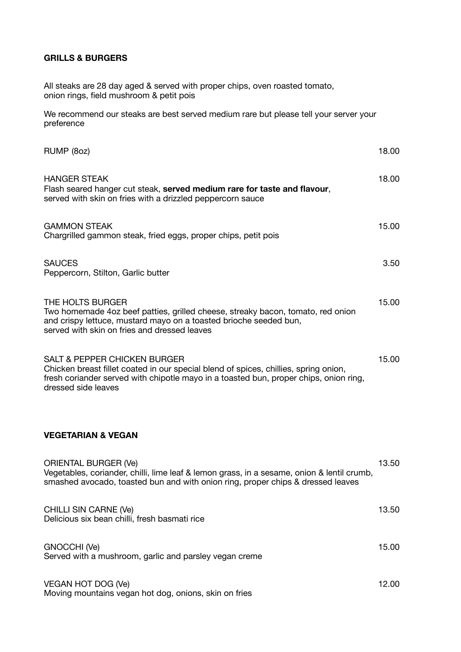### **GRILLS & BURGERS**

All steaks are 28 day aged & served with proper chips, oven roasted tomato, onion rings, field mushroom & petit pois

We recommend our steaks are best served medium rare but please tell your server your preference

| RUMP (8oz)                                                                                                                                                                                                                                      | 18.00 |
|-------------------------------------------------------------------------------------------------------------------------------------------------------------------------------------------------------------------------------------------------|-------|
| <b>HANGER STEAK</b><br>Flash seared hanger cut steak, served medium rare for taste and flavour,<br>served with skin on fries with a drizzled peppercorn sauce                                                                                   | 18.00 |
| <b>GAMMON STEAK</b><br>Chargrilled gammon steak, fried eggs, proper chips, petit pois                                                                                                                                                           | 15.00 |
| <b>SAUCES</b><br>Peppercorn, Stilton, Garlic butter                                                                                                                                                                                             | 3.50  |
| THE HOLTS BURGER<br>Two homemade 4oz beef patties, grilled cheese, streaky bacon, tomato, red onion<br>and crispy lettuce, mustard mayo on a toasted brioche seeded bun,<br>served with skin on fries and dressed leaves                        | 15.00 |
| <b>SALT &amp; PEPPER CHICKEN BURGER</b><br>Chicken breast fillet coated in our special blend of spices, chillies, spring onion,<br>fresh coriander served with chipotle mayo in a toasted bun, proper chips, onion ring,<br>dressed side leaves | 15.00 |
| <b>VEGETARIAN &amp; VEGAN</b>                                                                                                                                                                                                                   |       |
| <b>ORIENTAL BURGER (Ve)</b><br>Vegetables, coriander, chilli, lime leaf & lemon grass, in a sesame, onion & lentil crumb,<br>smashed avocado, toasted bun and with onion ring, proper chips & dressed leaves                                    | 13.50 |
| <b>CHILLI SIN CARNE (Ve)</b><br>Delicious six bean chilli, fresh basmati rice                                                                                                                                                                   | 13.50 |
| GNOCCHI (Ve)<br>Served with a mushroom, garlic and parsley vegan creme                                                                                                                                                                          | 15.00 |
| VEGAN HOT DOG (Ve)<br>Moving mountains vegan hot dog, onions, skin on fries                                                                                                                                                                     | 12.00 |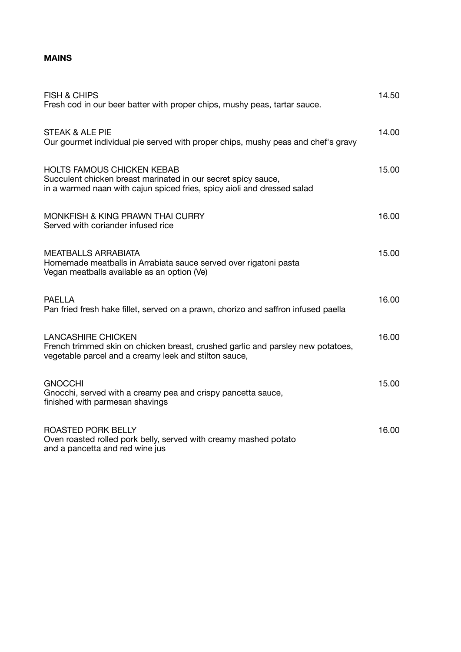## **MAINS**

| <b>FISH &amp; CHIPS</b><br>Fresh cod in our beer batter with proper chips, mushy peas, tartar sauce.                                                                          | 14.50 |
|-------------------------------------------------------------------------------------------------------------------------------------------------------------------------------|-------|
| <b>STEAK &amp; ALE PIE</b><br>Our gourmet individual pie served with proper chips, mushy peas and chef's gravy                                                                | 14.00 |
| <b>HOLTS FAMOUS CHICKEN KEBAB</b><br>Succulent chicken breast marinated in our secret spicy sauce,<br>in a warmed naan with cajun spiced fries, spicy aioli and dressed salad | 15.00 |
| <b>MONKFISH &amp; KING PRAWN THAI CURRY</b><br>Served with coriander infused rice                                                                                             | 16.00 |
| <b>MEATBALLS ARRABIATA</b><br>Homemade meatballs in Arrabiata sauce served over rigatoni pasta<br>Vegan meatballs available as an option (Ve)                                 | 15.00 |
| <b>PAELLA</b><br>Pan fried fresh hake fillet, served on a prawn, chorizo and saffron infused paella                                                                           | 16.00 |
| <b>LANCASHIRE CHICKEN</b><br>French trimmed skin on chicken breast, crushed garlic and parsley new potatoes,<br>vegetable parcel and a creamy leek and stilton sauce,         | 16.00 |
| <b>GNOCCHI</b><br>Gnocchi, served with a creamy pea and crispy pancetta sauce,<br>finished with parmesan shavings                                                             | 15.00 |
| <b>ROASTED PORK BELLY</b><br>Oven roasted rolled pork belly, served with creamy mashed potato<br>and a pancetta and red wine jus                                              | 16.00 |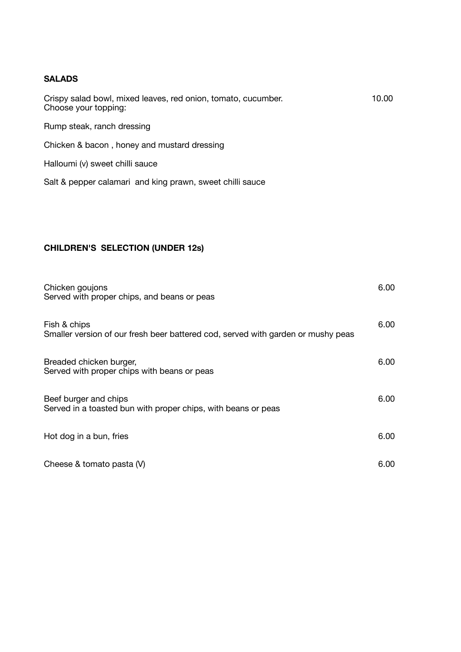#### **SALADS**

| Crispy salad bowl, mixed leaves, red onion, tomato, cucumber.<br>Choose your topping: | 10.00 |
|---------------------------------------------------------------------------------------|-------|
| Rump steak, ranch dressing                                                            |       |
| Chicken & bacon, honey and mustard dressing                                           |       |
| Halloumi (v) sweet chilli sauce                                                       |       |
| Salt & pepper calamari and king prawn, sweet chilli sauce                             |       |

# **CHILDREN'S SELECTION (UNDER 12s)**

| Chicken goujons<br>Served with proper chips, and beans or peas                                   | 6.00 |
|--------------------------------------------------------------------------------------------------|------|
| Fish & chips<br>Smaller version of our fresh beer battered cod, served with garden or mushy peas | 6.00 |
| Breaded chicken burger,<br>Served with proper chips with beans or peas                           | 6.00 |
| Beef burger and chips<br>Served in a toasted bun with proper chips, with beans or peas           | 6.00 |
| Hot dog in a bun, fries                                                                          | 6.00 |
| Cheese & tomato pasta (V)                                                                        | 6.00 |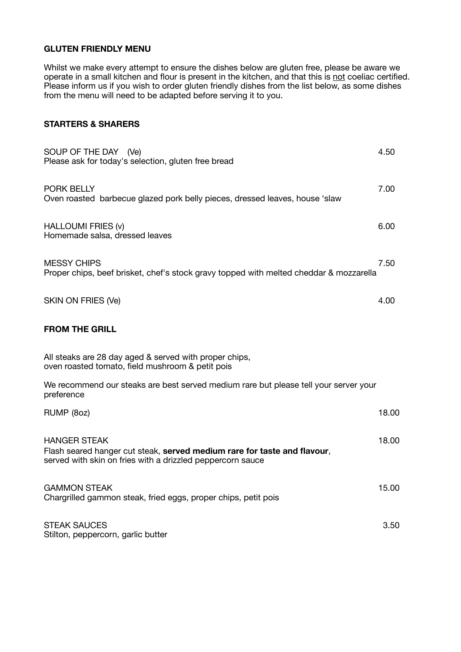### **GLUTEN FRIENDLY MENU**

Whilst we make every attempt to ensure the dishes below are gluten free, please be aware we operate in a small kitchen and flour is present in the kitchen, and that this is not coeliac certified. Please inform us if you wish to order gluten friendly dishes from the list below, as some dishes from the menu will need to be adapted before serving it to you.

### **STARTERS & SHARERS**

| SOUP OF THE DAY (Ve)<br>Please ask for today's selection, gluten free bread                                                                                   | 4.50  |
|---------------------------------------------------------------------------------------------------------------------------------------------------------------|-------|
| <b>PORK BELLY</b><br>Oven roasted barbecue glazed pork belly pieces, dressed leaves, house 'slaw                                                              | 7.00  |
| HALLOUMI FRIES (v)<br>Homemade salsa, dressed leaves                                                                                                          | 6.00  |
| <b>MESSY CHIPS</b><br>Proper chips, beef brisket, chef's stock gravy topped with melted cheddar & mozzarella                                                  | 7.50  |
| SKIN ON FRIES (Ve)                                                                                                                                            | 4.00  |
| <b>FROM THE GRILL</b>                                                                                                                                         |       |
| All steaks are 28 day aged & served with proper chips,<br>oven roasted tomato, field mushroom & petit pois                                                    |       |
| We recommend our steaks are best served medium rare but please tell your server your<br>preference                                                            |       |
| RUMP (8oz)                                                                                                                                                    | 18.00 |
| <b>HANGER STEAK</b><br>Flash seared hanger cut steak, served medium rare for taste and flavour,<br>served with skin on fries with a drizzled peppercorn sauce | 18.00 |
| <b>GAMMON STEAK</b><br>Chargrilled gammon steak, fried eggs, proper chips, petit pois                                                                         | 15.00 |
| <b>STEAK SAUCES</b><br>Stilton, peppercorn, garlic butter                                                                                                     | 3.50  |